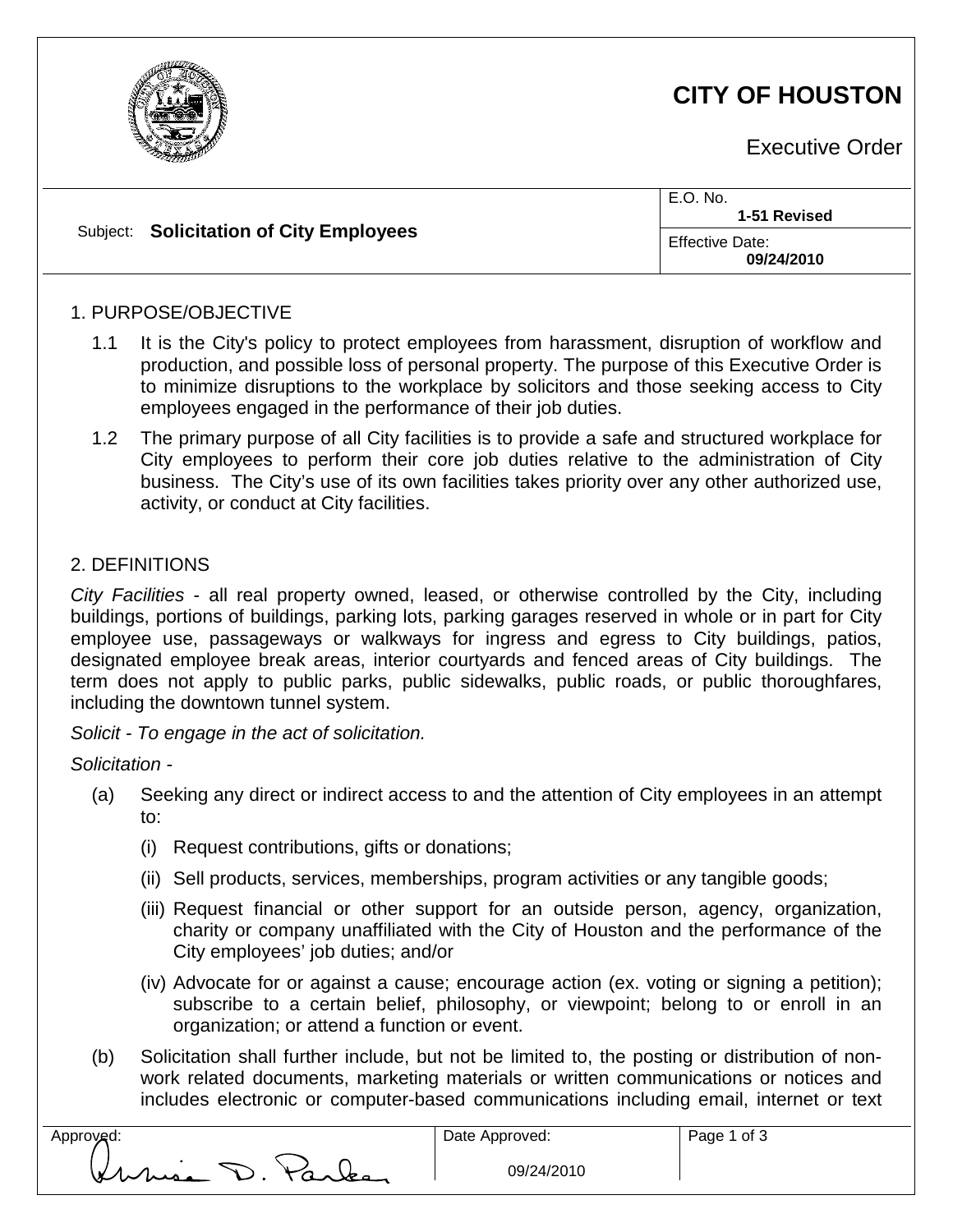

# **CITY OF HOUSTON**

Executive Order

|  | Subject: Solicitation of City Employees | E.O. No.<br>1-51 Revised             |
|--|-----------------------------------------|--------------------------------------|
|  |                                         | <b>Effective Date:</b><br>09/24/2010 |

#### 1. PURPOSE/OBJECTIVE

- 1.1 It is the City's policy to protect employees from harassment, disruption of workflow and production, and possible loss of personal property. The purpose of this Executive Order is to minimize disruptions to the workplace by solicitors and those seeking access to City employees engaged in the performance of their job duties.
- 1.2 The primary purpose of all City facilities is to provide a safe and structured workplace for City employees to perform their core job duties relative to the administration of City business. The City's use of its own facilities takes priority over any other authorized use, activity, or conduct at City facilities.

#### 2. DEFINITIONS

*City Facilities* - all real property owned, leased, or otherwise controlled by the City, including buildings, portions of buildings, parking lots, parking garages reserved in whole or in part for City employee use, passageways or walkways for ingress and egress to City buildings, patios, designated employee break areas, interior courtyards and fenced areas of City buildings. The term does not apply to public parks, public sidewalks, public roads, or public thoroughfares, including the downtown tunnel system.

*Solicit - To engage in the act of solicitation.*

*Solicitation -*

- (a) Seeking any direct or indirect access to and the attention of City employees in an attempt to:
	- (i) Request contributions, gifts or donations;
	- (ii) Sell products, services, memberships, program activities or any tangible goods;
	- (iii) Request financial or other support for an outside person, agency, organization, charity or company unaffiliated with the City of Houston and the performance of the City employees' job duties; and/or
	- (iv) Advocate for or against a cause; encourage action (ex. voting or signing a petition); subscribe to a certain belief, philosophy, or viewpoint; belong to or enroll in an organization; or attend a function or event.
- (b) Solicitation shall further include, but not be limited to, the posting or distribution of nonwork related documents, marketing materials or written communications or notices and includes electronic or computer-based communications including email, internet or text

| Approved:       | Date Approved: |
|-----------------|----------------|
| Kuria D. Parley | 09/24/2        |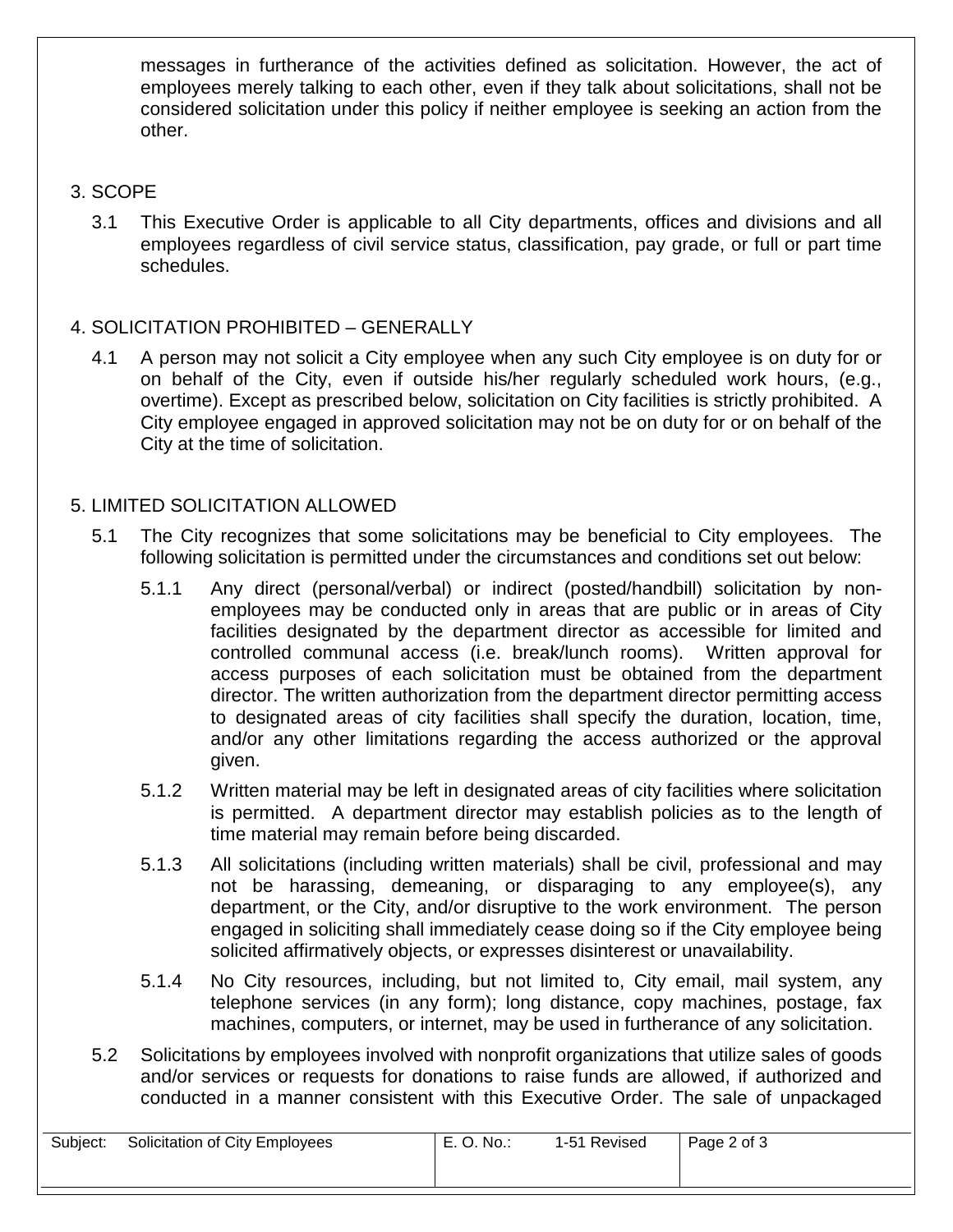messages in furtherance of the activities defined as solicitation. However, the act of employees merely talking to each other, even if they talk about solicitations, shall not be considered solicitation under this policy if neither employee is seeking an action from the other.

#### 3. SCOPE

3.1 This Executive Order is applicable to all City departments, offices and divisions and all employees regardless of civil service status, classification, pay grade, or full or part time schedules.

# 4. SOLICITATION PROHIBITED – GENERALLY

4.1 A person may not solicit a City employee when any such City employee is on duty for or on behalf of the City, even if outside his/her regularly scheduled work hours, (e.g., overtime). Except as prescribed below, solicitation on City facilities is strictly prohibited. A City employee engaged in approved solicitation may not be on duty for or on behalf of the City at the time of solicitation.

# 5. LIMITED SOLICITATION ALLOWED

- 5.1 The City recognizes that some solicitations may be beneficial to City employees. The following solicitation is permitted under the circumstances and conditions set out below:
	- 5.1.1 Any direct (personal/verbal) or indirect (posted/handbill) solicitation by nonemployees may be conducted only in areas that are public or in areas of City facilities designated by the department director as accessible for limited and controlled communal access (i.e. break/lunch rooms). Written approval for access purposes of each solicitation must be obtained from the department director. The written authorization from the department director permitting access to designated areas of city facilities shall specify the duration, location, time, and/or any other limitations regarding the access authorized or the approval given.
	- 5.1.2 Written material may be left in designated areas of city facilities where solicitation is permitted. A department director may establish policies as to the length of time material may remain before being discarded.
	- 5.1.3 All solicitations (including written materials) shall be civil, professional and may not be harassing, demeaning, or disparaging to any employee(s), any department, or the City, and/or disruptive to the work environment. The person engaged in soliciting shall immediately cease doing so if the City employee being solicited affirmatively objects, or expresses disinterest or unavailability.
	- 5.1.4 No City resources, including, but not limited to, City email, mail system, any telephone services (in any form); long distance, copy machines, postage, fax machines, computers, or internet, may be used in furtherance of any solicitation.
- 5.2 Solicitations by employees involved with nonprofit organizations that utilize sales of goods and/or services or requests for donations to raise funds are allowed, if authorized and conducted in a manner consistent with this Executive Order. The sale of unpackaged